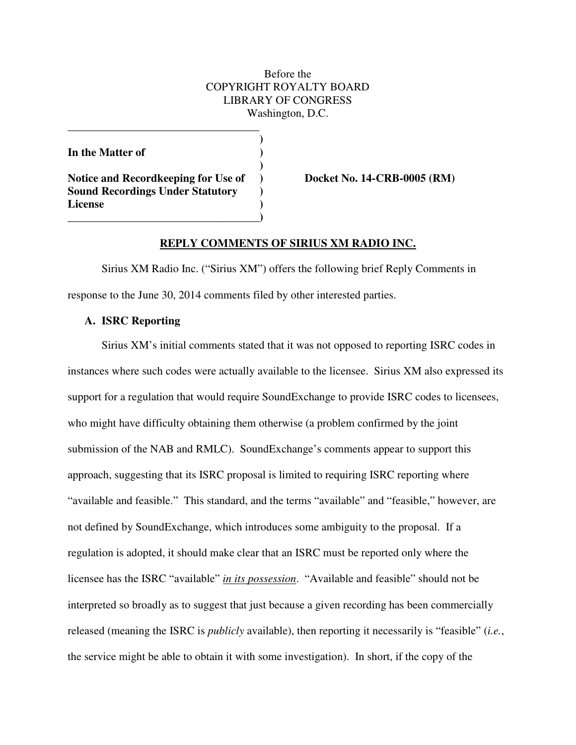# Before the COPYRIGHT ROYALTY BOARD LIBRARY OF CONGRESS Washington, D.C.

**)** 

In the Matter of *In the Matter of* 

 **)**  Notice and Recordkeeping for Use of **Docket No. 14-CRB-0005 (RM) Sound Recordings Under Statutory ) License ) \_\_\_\_\_\_\_\_\_\_\_\_\_\_\_\_\_\_\_\_\_\_\_\_\_\_\_\_\_\_\_\_\_\_)** 

**\_\_\_\_\_\_\_\_\_\_\_\_\_\_\_\_\_\_\_\_\_\_\_\_\_\_\_\_\_\_\_\_\_\_** 

### **REPLY COMMENTS OF SIRIUS XM RADIO INC.**

 Sirius XM Radio Inc. ("Sirius XM") offers the following brief Reply Comments in response to the June 30, 2014 comments filed by other interested parties.

## **A. ISRC Reporting**

 Sirius XM's initial comments stated that it was not opposed to reporting ISRC codes in instances where such codes were actually available to the licensee. Sirius XM also expressed its support for a regulation that would require SoundExchange to provide ISRC codes to licensees, who might have difficulty obtaining them otherwise (a problem confirmed by the joint submission of the NAB and RMLC). SoundExchange's comments appear to support this approach, suggesting that its ISRC proposal is limited to requiring ISRC reporting where "available and feasible." This standard, and the terms "available" and "feasible," however, are not defined by SoundExchange, which introduces some ambiguity to the proposal. If a regulation is adopted, it should make clear that an ISRC must be reported only where the licensee has the ISRC "available" *in its possession*. "Available and feasible" should not be interpreted so broadly as to suggest that just because a given recording has been commercially released (meaning the ISRC is *publicly* available), then reporting it necessarily is "feasible" (*i.e.*, the service might be able to obtain it with some investigation). In short, if the copy of the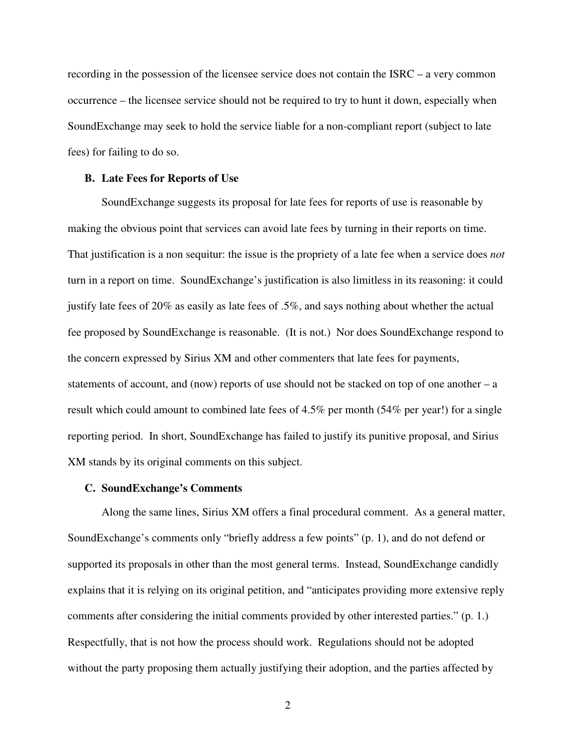recording in the possession of the licensee service does not contain the ISRC – a very common occurrence – the licensee service should not be required to try to hunt it down, especially when SoundExchange may seek to hold the service liable for a non-compliant report (subject to late fees) for failing to do so.

### **B. Late Fees for Reports of Use**

 SoundExchange suggests its proposal for late fees for reports of use is reasonable by making the obvious point that services can avoid late fees by turning in their reports on time. That justification is a non sequitur: the issue is the propriety of a late fee when a service does *not* turn in a report on time. SoundExchange's justification is also limitless in its reasoning: it could justify late fees of 20% as easily as late fees of .5%, and says nothing about whether the actual fee proposed by SoundExchange is reasonable. (It is not.) Nor does SoundExchange respond to the concern expressed by Sirius XM and other commenters that late fees for payments, statements of account, and (now) reports of use should not be stacked on top of one another – a result which could amount to combined late fees of 4.5% per month (54% per year!) for a single reporting period. In short, SoundExchange has failed to justify its punitive proposal, and Sirius XM stands by its original comments on this subject.

### **C. SoundExchange's Comments**

 Along the same lines, Sirius XM offers a final procedural comment. As a general matter, SoundExchange's comments only "briefly address a few points" (p. 1), and do not defend or supported its proposals in other than the most general terms. Instead, SoundExchange candidly explains that it is relying on its original petition, and "anticipates providing more extensive reply comments after considering the initial comments provided by other interested parties." (p. 1.) Respectfully, that is not how the process should work. Regulations should not be adopted without the party proposing them actually justifying their adoption, and the parties affected by

2